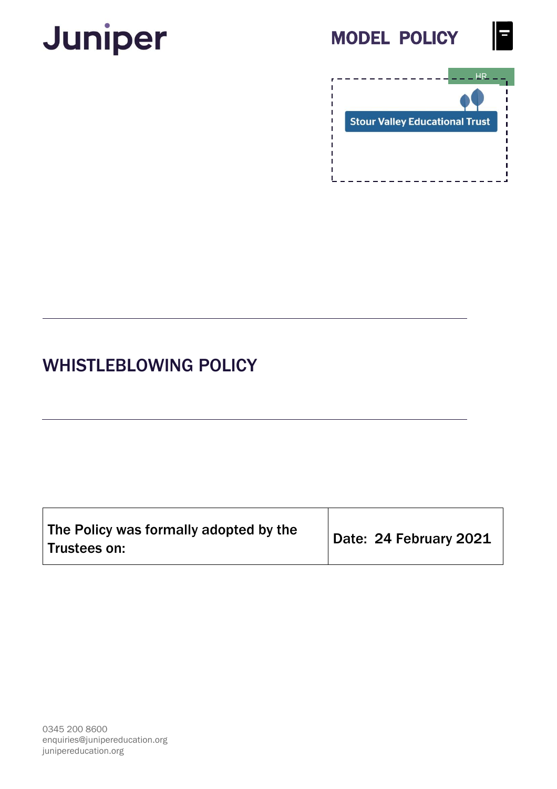# **Juniper**







## WHISTLEBLOWING POLICY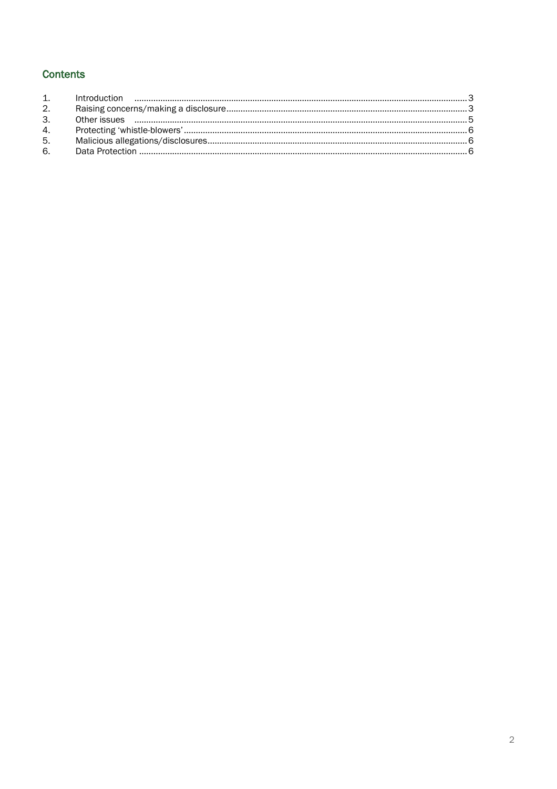### **Contents**

| 2. |  |
|----|--|
| 3. |  |
| 4. |  |
| 5. |  |
| 6. |  |
|    |  |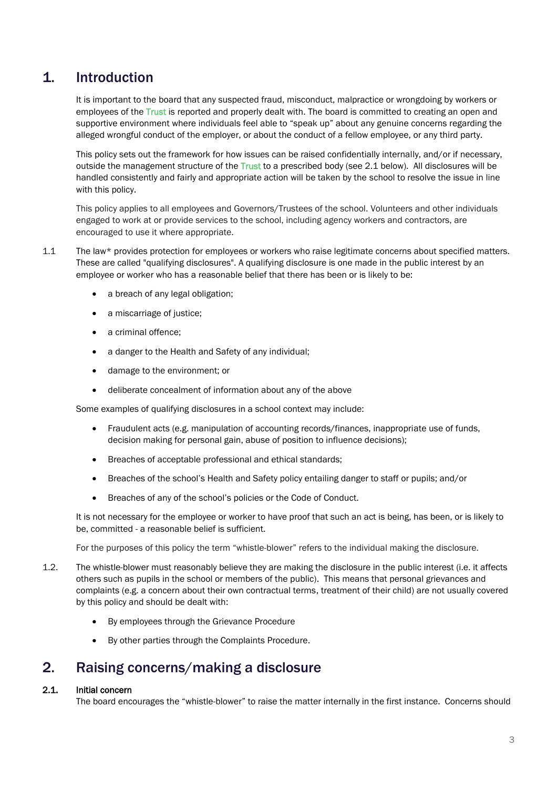## <span id="page-2-0"></span>1. Introduction

It is important to the board that any suspected fraud, misconduct, malpractice or wrongdoing by workers or employees of the Trust is reported and properly dealt with. The board is committed to creating an open and supportive environment where individuals feel able to "speak up" about any genuine concerns regarding the alleged wrongful conduct of the employer, or about the conduct of a fellow employee, or any third party.

This policy sets out the framework for how issues can be raised confidentially internally, and/or if necessary, outside the management structure of the Trust to a prescribed body (see 2.1 below). All disclosures will be handled consistently and fairly and appropriate action will be taken by the school to resolve the issue in line with this policy.

This policy applies to all employees and Governors/Trustees of the school. Volunteers and other individuals engaged to work at or provide services to the school, including agency workers and contractors, are encouraged to use it where appropriate.

- 1.1 The law\* provides protection for employees or workers who raise legitimate concerns about specified matters. These are called "qualifying disclosures". A qualifying disclosure is one made in the public interest by an employee or worker who has a reasonable belief that there has been or is likely to be:
	- a breach of any legal obligation;
	- a miscarriage of justice;
	- a criminal offence;
	- a danger to the Health and Safety of any individual;
	- damage to the environment; or
	- deliberate concealment of information about any of the above

Some examples of qualifying disclosures in a school context may include:

- Fraudulent acts (e.g. manipulation of accounting records/finances, inappropriate use of funds, decision making for personal gain, abuse of position to influence decisions);
- Breaches of acceptable professional and ethical standards;
- Breaches of the school's Health and Safety policy entailing danger to staff or pupils; and/or
- Breaches of any of the school's policies or the Code of Conduct.

It is not necessary for the employee or worker to have proof that such an act is being, has been, or is likely to be, committed - a reasonable belief is sufficient.

For the purposes of this policy the term "whistle-blower" refers to the individual making the disclosure.

- 1.2. The whistle-blower must reasonably believe they are making the disclosure in the public interest (i.e. it affects others such as pupils in the school or members of the public). This means that personal grievances and complaints (e.g. a concern about their own contractual terms, treatment of their child) are not usually covered by this policy and should be dealt with:
	- By employees through the Grievance Procedure
	- By other parties through the Complaints Procedure.

## <span id="page-2-1"></span>2. Raising concerns/making a disclosure

#### 2.1. Initial concern

The board encourages the "whistle-blower" to raise the matter internally in the first instance. Concerns should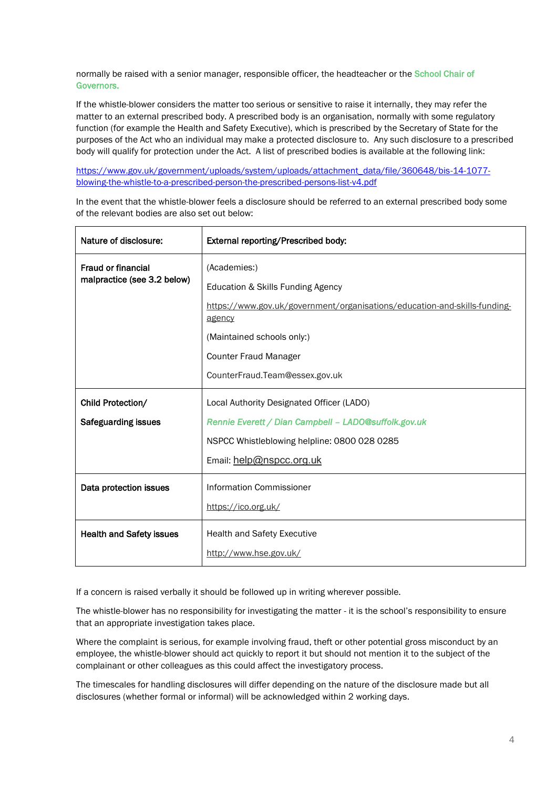normally be raised with a senior manager, responsible officer, the headteacher or the School Chair of Governors.

If the whistle-blower considers the matter too serious or sensitive to raise it internally, they may refer the matter to an external prescribed body. A prescribed body is an organisation, normally with some regulatory function (for example the Health and Safety Executive), which is prescribed by the Secretary of State for the purposes of the Act who an individual may make a protected disclosure to. Any such disclosure to a prescribed body will qualify for protection under the Act. A list of prescribed bodies is available at the following link:

[https://www.gov.uk/government/uploads/system/uploads/attachment\\_data/file/360648/bis-14-1077](https://www.gov.uk/government/uploads/system/uploads/attachment_data/file/360648/bis-14-1077-blowing-the-whistle-to-a-prescribed-person-the-prescribed-persons-list-v4.pdf) [blowing-the-whistle-to-a-prescribed-person-the-prescribed-persons-list-v4.pdf](https://www.gov.uk/government/uploads/system/uploads/attachment_data/file/360648/bis-14-1077-blowing-the-whistle-to-a-prescribed-person-the-prescribed-persons-list-v4.pdf)

In the event that the whistle-blower feels a disclosure should be referred to an external prescribed body some of the relevant bodies are also set out below:

| Nature of disclosure:                                    | External reporting/Prescribed body:                                                                                                                                                                    |
|----------------------------------------------------------|--------------------------------------------------------------------------------------------------------------------------------------------------------------------------------------------------------|
| <b>Fraud or financial</b><br>malpractice (see 3.2 below) | (Academies:)<br>Education & Skills Funding Agency<br>https://www.gov.uk/government/organisations/education-and-skills-funding-<br>agency<br>(Maintained schools only:)<br><b>Counter Fraud Manager</b> |
|                                                          | CounterFraud.Team@essex.gov.uk                                                                                                                                                                         |
| Child Protection/                                        | Local Authority Designated Officer (LADO)                                                                                                                                                              |
| <b>Safeguarding issues</b>                               | Rennie Everett / Dian Campbell - LADO@suffolk.gov.uk                                                                                                                                                   |
|                                                          | NSPCC Whistleblowing helpline: 0800 028 0285                                                                                                                                                           |
|                                                          | Email: help@nspcc.org.uk                                                                                                                                                                               |
| Data protection issues                                   | <b>Information Commissioner</b>                                                                                                                                                                        |
|                                                          | https://ico.org.uk/                                                                                                                                                                                    |
| <b>Health and Safety issues</b>                          | <b>Health and Safety Executive</b><br>http://www.hse.gov.uk/                                                                                                                                           |

If a concern is raised verbally it should be followed up in writing wherever possible.

The whistle-blower has no responsibility for investigating the matter - it is the school's responsibility to ensure that an appropriate investigation takes place.

Where the complaint is serious, for example involving fraud, theft or other potential gross misconduct by an employee, the whistle-blower should act quickly to report it but should not mention it to the subject of the complainant or other colleagues as this could affect the investigatory process.

The timescales for handling disclosures will differ depending on the nature of the disclosure made but all disclosures (whether formal or informal) will be acknowledged within 2 working days.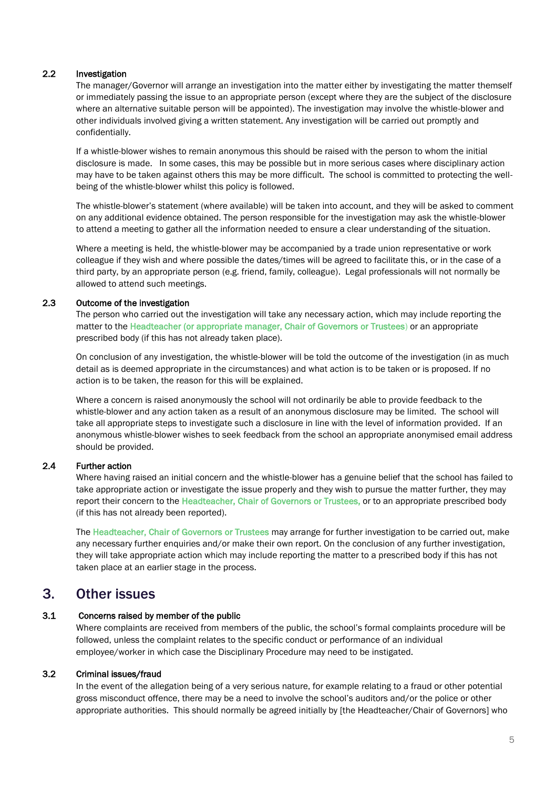#### 2.2 Investigation

The manager/Governor will arrange an investigation into the matter either by investigating the matter themself or immediately passing the issue to an appropriate person (except where they are the subject of the disclosure where an alternative suitable person will be appointed). The investigation may involve the whistle-blower and other individuals involved giving a written statement. Any investigation will be carried out promptly and confidentially.

If a whistle-blower wishes to remain anonymous this should be raised with the person to whom the initial disclosure is made. In some cases, this may be possible but in more serious cases where disciplinary action may have to be taken against others this may be more difficult. The school is committed to protecting the wellbeing of the whistle-blower whilst this policy is followed.

The whistle-blower's statement (where available) will be taken into account, and they will be asked to comment on any additional evidence obtained. The person responsible for the investigation may ask the whistle-blower to attend a meeting to gather all the information needed to ensure a clear understanding of the situation.

Where a meeting is held, the whistle-blower may be accompanied by a trade union representative or work colleague if they wish and where possible the dates/times will be agreed to facilitate this, or in the case of a third party, by an appropriate person (e.g. friend, family, colleague). Legal professionals will not normally be allowed to attend such meetings.

#### 2.3 Outcome of the investigation

The person who carried out the investigation will take any necessary action, which may include reporting the matter to the Headteacher (or appropriate manager, Chair of Governors or Trustees) or an appropriate prescribed body (if this has not already taken place).

On conclusion of any investigation, the whistle-blower will be told the outcome of the investigation (in as much detail as is deemed appropriate in the circumstances) and what action is to be taken or is proposed. If no action is to be taken, the reason for this will be explained.

Where a concern is raised anonymously the school will not ordinarily be able to provide feedback to the whistle-blower and any action taken as a result of an anonymous disclosure may be limited. The school will take all appropriate steps to investigate such a disclosure in line with the level of information provided. If an anonymous whistle-blower wishes to seek feedback from the school an appropriate anonymised email address should be provided.

#### 2.4 Further action

Where having raised an initial concern and the whistle-blower has a genuine belief that the school has failed to take appropriate action or investigate the issue properly and they wish to pursue the matter further, they may report their concern to the Headteacher, Chair of Governors or Trustees, or to an appropriate prescribed body (if this has not already been reported).

The Headteacher, Chair of Governors or Trustees may arrange for further investigation to be carried out, make any necessary further enquiries and/or make their own report. On the conclusion of any further investigation, they will take appropriate action which may include reporting the matter to a prescribed body if this has not taken place at an earlier stage in the process.

## <span id="page-4-0"></span>3. Other issues

#### 3.1 Concerns raised by member of the public

Where complaints are received from members of the public, the school's formal complaints procedure will be followed, unless the complaint relates to the specific conduct or performance of an individual employee/worker in which case the Disciplinary Procedure may need to be instigated.

#### 3.2 Criminal issues/fraud

In the event of the allegation being of a very serious nature, for example relating to a fraud or other potential gross misconduct offence, there may be a need to involve the school's auditors and/or the police or other appropriate authorities. This should normally be agreed initially by [the Headteacher/Chair of Governors] who